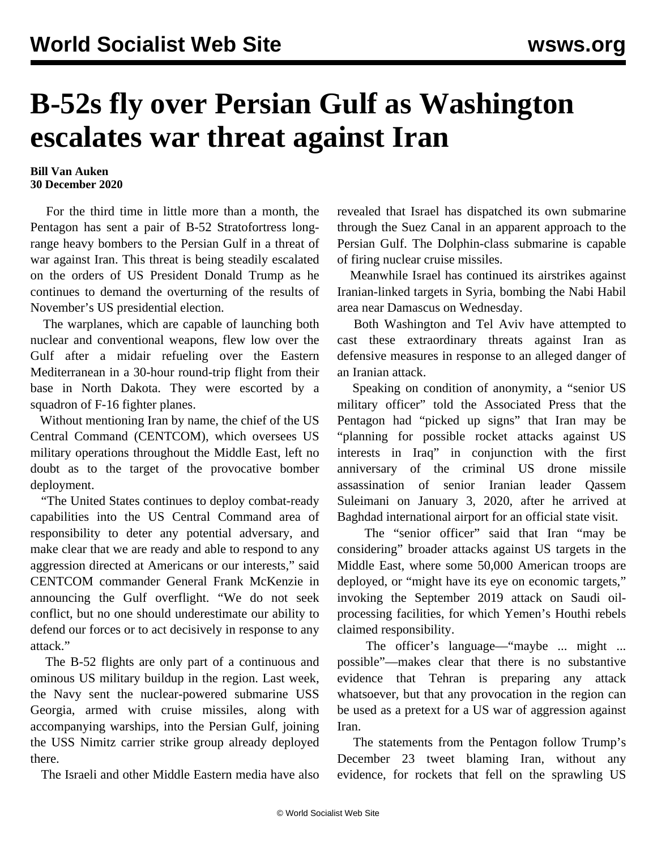## **B-52s fly over Persian Gulf as Washington escalates war threat against Iran**

## **Bill Van Auken 30 December 2020**

 For the third time in little more than a month, the Pentagon has sent a pair of B-52 Stratofortress longrange heavy bombers to the Persian Gulf in a threat of war against Iran. This threat is being steadily escalated on the orders of US President Donald Trump as he continues to demand the overturning of the results of November's US presidential election.

 The warplanes, which are capable of launching both nuclear and conventional weapons, flew low over the Gulf after a midair refueling over the Eastern Mediterranean in a 30-hour round-trip flight from their base in North Dakota. They were escorted by a squadron of F-16 fighter planes.

 Without mentioning Iran by name, the chief of the US Central Command (CENTCOM), which oversees US military operations throughout the Middle East, left no doubt as to the target of the provocative bomber deployment.

 "The United States continues to deploy combat-ready capabilities into the US Central Command area of responsibility to deter any potential adversary, and make clear that we are ready and able to respond to any aggression directed at Americans or our interests," said CENTCOM commander General Frank McKenzie in announcing the Gulf overflight. "We do not seek conflict, but no one should underestimate our ability to defend our forces or to act decisively in response to any attack."

 The B-52 flights are only part of a continuous and ominous US military buildup in the region. Last week, the Navy sent the nuclear-powered submarine USS Georgia, armed with cruise missiles, along with accompanying warships, into the Persian Gulf, joining the USS Nimitz carrier strike group already deployed there.

The Israeli and other Middle Eastern media have also

revealed that Israel has dispatched its own submarine through the Suez Canal in an apparent approach to the Persian Gulf. The Dolphin-class submarine is capable of firing nuclear cruise missiles.

 Meanwhile Israel has continued its airstrikes against Iranian-linked targets in Syria, bombing the Nabi Habil area near Damascus on Wednesday.

 Both Washington and Tel Aviv have attempted to cast these extraordinary threats against Iran as defensive measures in response to an alleged danger of an Iranian attack.

 Speaking on condition of anonymity, a "senior US military officer" told the Associated Press that the Pentagon had "picked up signs" that Iran may be "planning for possible rocket attacks against US interests in Iraq" in conjunction with the first anniversary of the criminal US drone missile assassination of senior Iranian leader Qassem Suleimani on January 3, 2020, after he arrived at Baghdad international airport for an official state visit.

The "senior officer" said that Iran "may be considering" broader attacks against US targets in the Middle East, where some 50,000 American troops are deployed, or "might have its eye on economic targets," invoking the September 2019 attack on Saudi oilprocessing facilities, for which Yemen's Houthi rebels claimed responsibility.

 The officer's language—"maybe ... might ... possible"—makes clear that there is no substantive evidence that Tehran is preparing any attack whatsoever, but that any provocation in the region can be used as a pretext for a US war of aggression against Iran.

 The statements from the Pentagon follow Trump's December 23 tweet blaming Iran, without any evidence, for rockets that fell on the sprawling US